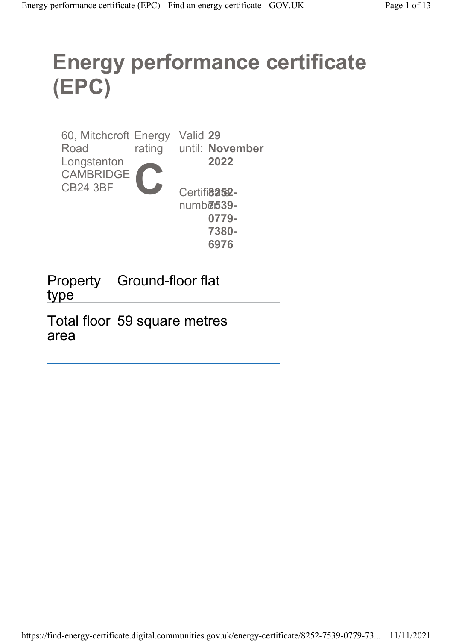# Energy performance certificate (EPC)

60, Mitchcroft Energy Valid 29 Road Longstanton CAMBRIDGE CB24 3BF rating until: November C 2022 Certifi<sup>8252</sup>numb**ē:539-**0779- 7380- 6976

Property Ground-floor flat type

Total floor 59 square metres area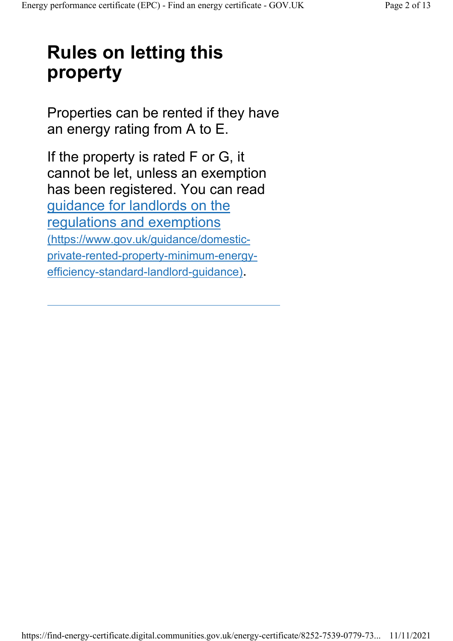# Rules on letting this property

Properties can be rented if they have an energy rating from A to E.

If the property is rated F or G, it cannot be let, unless an exemption has been registered. You can read guidance for landlords on the regulations and exemptions (https://www.gov.uk/guidance/domesticprivate-rented-property-minimum-energyefficiency-standard-landlord-guidance).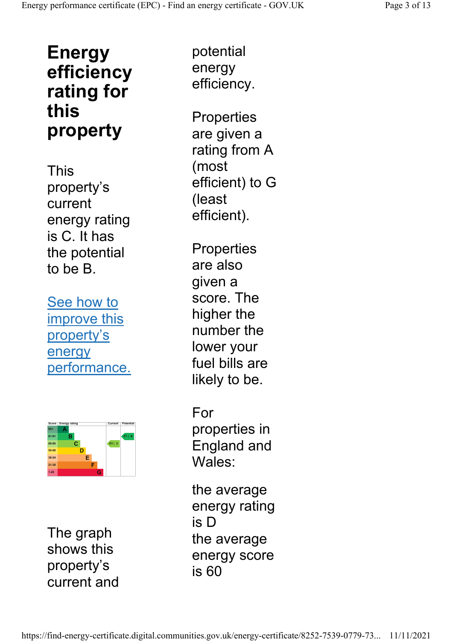# Energy efficiency rating for this property

This property's current energy rating is C. It has the potential to be B.

See how to improve this property's energy performance.



The graph shows this property's current and

potential energy efficiency.

**Properties** are given a rating from A (most efficient) to G (least efficient).

**Properties** are also given a score. The higher the number the lower your fuel bills are likely to be.

For properties in England and Wales:

the average energy rating is D the average energy score is 60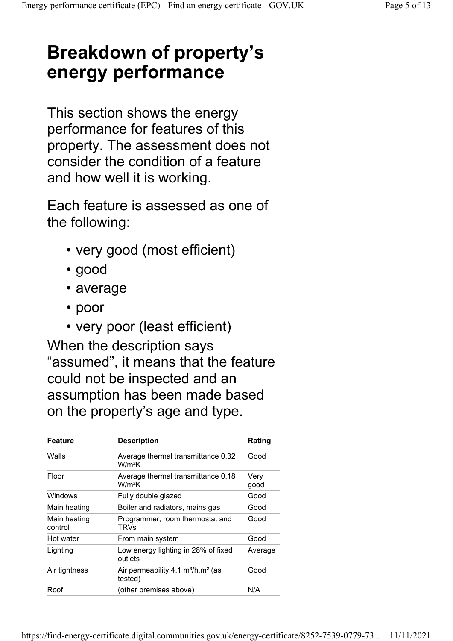# Breakdown of property's energy performance

This section shows the energy performance for features of this property. The assessment does not consider the condition of a feature and how well it is working.

Each feature is assessed as one of the following:

- very good (most efficient)
- good
- average
- poor
- very poor (least efficient)

When the description says "assumed", it means that the feature could not be inspected and an assumption has been made based on the property's age and type.

| <b>Feature</b>          | <b>Description</b>                              | Rating       |
|-------------------------|-------------------------------------------------|--------------|
| Walls                   | Average thermal transmittance 0.32<br>$W/m^2K$  | Good         |
| Floor                   | Average thermal transmittance 0.18<br>$W/m^2K$  | Very<br>good |
| Windows                 | Fully double glazed                             | Good         |
| Main heating            | Boiler and radiators, mains gas                 | Good         |
| Main heating<br>control | Programmer, room thermostat and<br>TRVs         | Good         |
| Hot water               | From main system                                | Good         |
| Lighting                | Low energy lighting in 28% of fixed<br>outlets  | Average      |
| Air tightness           | Air permeability 4.1 $m^3/h.m^2$ (as<br>tested) | Good         |
| Roof                    | (other premises above)                          | N/A          |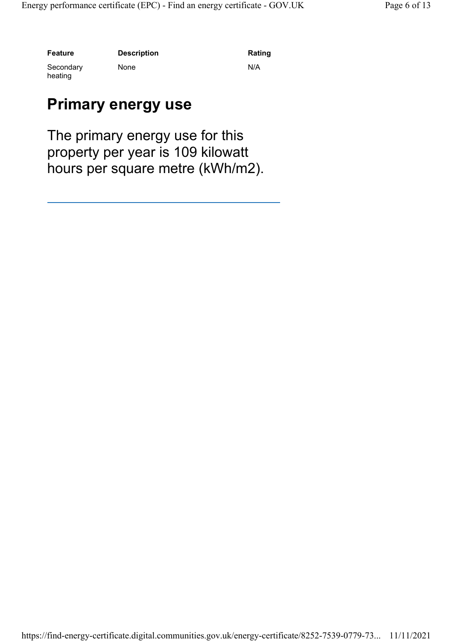Feature Description Description Rating

None N/A

#### Secondary heating

#### Primary energy use

The primary energy use for this property per year is 109 kilowatt hours per square metre (kWh/m2).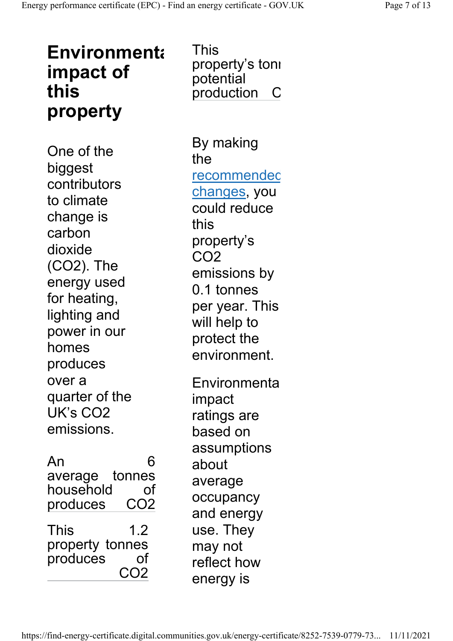# **Environmenta** impact of this property

One of the biggest contributors to climate change is carbon dioxide (CO2). The energy used for heating, lighting and power in our homes produces over a quarter of the UK's CO2 emissions.

| An              |                 |
|-----------------|-----------------|
| average tonnes  |                 |
| household       | Ωf              |
| produces        | CO <sub>2</sub> |
| This            | 12              |
| property tonnes |                 |
| produces        | Ωf              |
|                 | ገ2              |

This property's tonı potential production  $\mathsf{C}$ 

By making the recommended changes, you could reduce this property's CO2 emissions by 0.1 tonnes per year. This will help to protect the environment. **Environmenta** impact ratings are based on assumptions about average occupancy and energy use. They may not reflect how energy is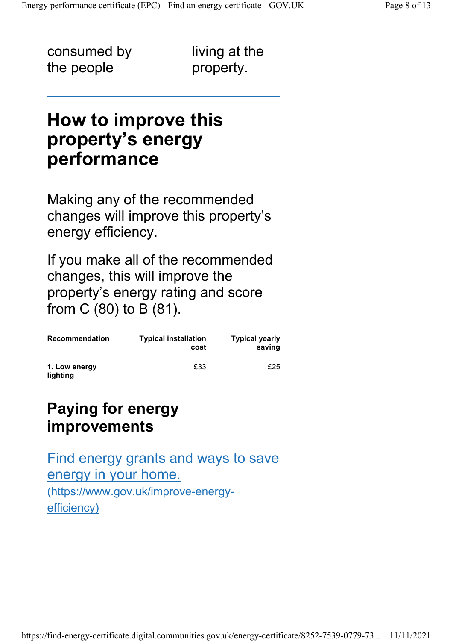consumed by the people

living at the property.

### How to improve this property's energy performance

Making any of the recommended changes will improve this property's energy efficiency.

If you make all of the recommended changes, this will improve the property's energy rating and score from C (80) to B (81).

| <b>Recommendation</b>     | <b>Typical installation</b><br>cost | <b>Typical yearly</b><br>saving |
|---------------------------|-------------------------------------|---------------------------------|
| 1. Low energy<br>lighting | £33                                 | £25                             |

#### Paying for energy improvements

Find energy grants and ways to save energy in your home. (https://www.gov.uk/improve-energyefficiency)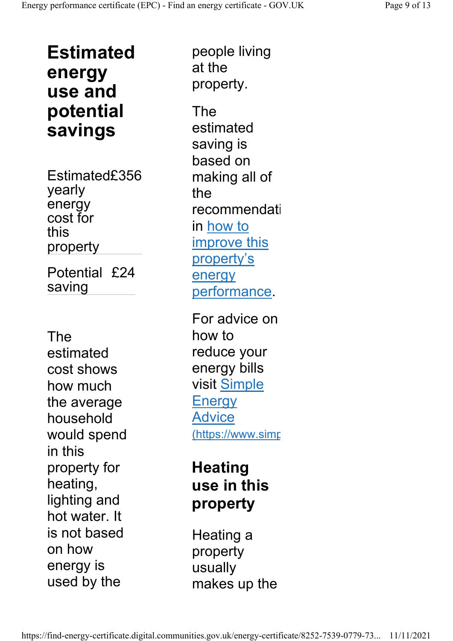Estimated energy use and potential savings

Estimated£356 yearly energy cost for this property Potential £24 saving

The estimated cost shows how much the average household would spend in this property for heating, lighting and hot water. It is not based on how energy is used by the

people living at the property. The

estimated saving is based on making all of the recommendati in how to improve this property's energy performance.

For advice on how to reduce your energy bills visit Simple **Energy** Advice (https://www.simp

#### **Heating** use in this property

Heating a property usually makes up the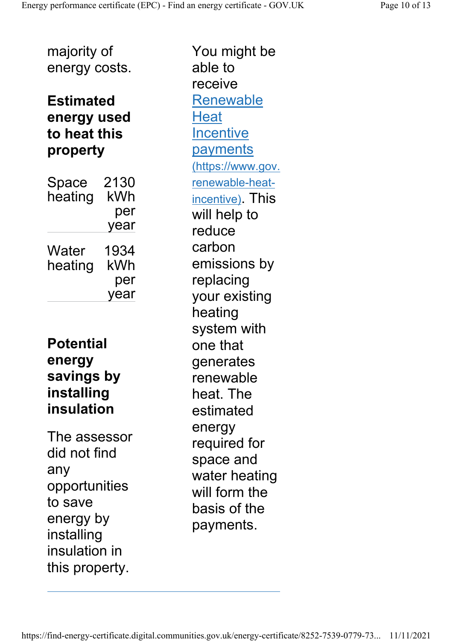#### Estimated energy used to heat this property

| Space<br>heating | 2130<br>kWh<br>per |
|------------------|--------------------|
|                  | year               |
| Water            | 1934               |
| heating          | kWh                |
|                  | per                |
|                  | year               |

#### **Potential** energy savings by installing insulation

The assessor did not find any opportunities to save energy by installing insulation in this property.

You might be able to receive Renewable **Heat Incentive payments** (https://www.gov. renewable-heatincentive). This will help to reduce carbon emissions by replacing your existing heating system with one that generates renewable heat. The estimated energy required for space and water heating will form the basis of the payments.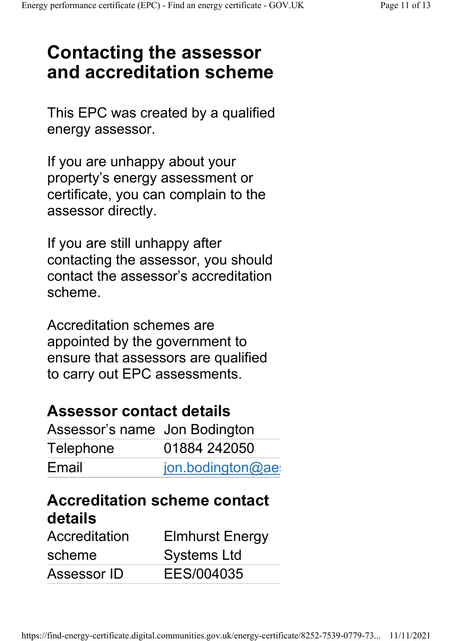# Contacting the assessor and accreditation scheme

This EPC was created by a qualified energy assessor.

If you are unhappy about your property's energy assessment or certificate, you can complain to the assessor directly.

If you are still unhappy after contacting the assessor, you should contact the assessor's accreditation scheme.

Accreditation schemes are appointed by the government to ensure that assessors are qualified to carry out EPC assessments.

#### Assessor contact details

| Assessor's name Jon Bodington |                     |
|-------------------------------|---------------------|
| Telephone                     | 01884 242050        |
| Email                         | $jon.$ bodington@ae |

#### Accreditation scheme contact details

| Accreditation | <b>Elmhurst Energy</b> |
|---------------|------------------------|
| scheme        | <b>Systems Ltd</b>     |
| Assessor ID   | EES/004035             |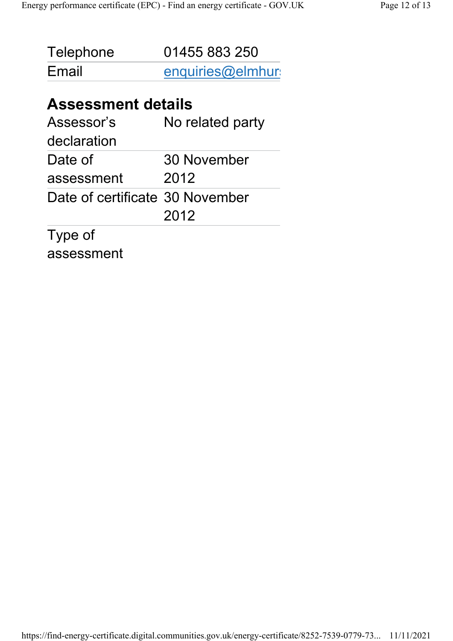| Telephone | 01455 883 250    |
|-----------|------------------|
| Email     | enquiries@elmhur |

#### Assessment details

| Assessor's                      | No related party |
|---------------------------------|------------------|
| declaration                     |                  |
| Date of                         | 30 November      |
| assessment                      | 2012             |
| Date of certificate 30 November |                  |
|                                 | 2012             |
| Type of                         |                  |

assessment